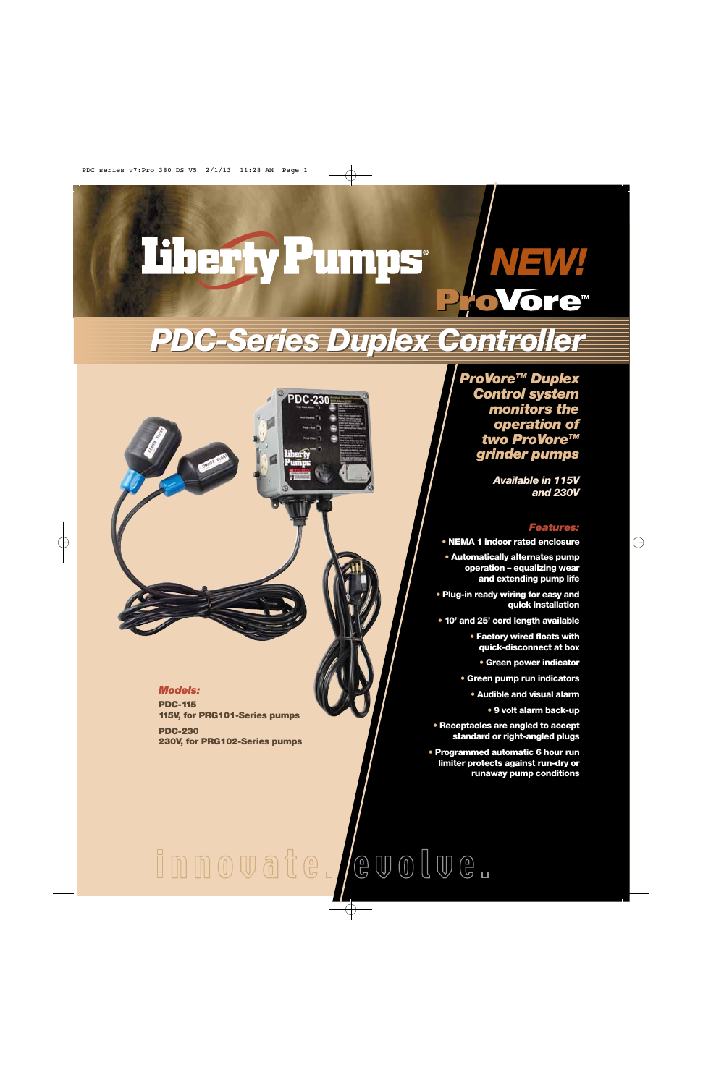## Therty Pumps *NEW!* Provo

## *PDC-Series Duplex Controller PDC-Series Duplex Controller*

PDC-230

*ProVoreTM Duplex Control system monitors the operation of*  two ProVore<sup>™</sup> *grinder pumps*

> *Available in 115V and 230V*

### *Features:*

**• NEMA 1 indoor rated enclosure**

**• Automatically alternates pump operation – equalizing wear and extending pump life**

**• Plug-in ready wiring for easy and quick installation**

**• 10' and 25' cord length available**

**• Factory wired floats with quick-disconnect at box**

**• Green power indicator**

**• Green pump run indicators**

**• Audible and visual alarm**

**• 9 volt alarm back-up** 

**• Receptacles are angled to accept standard or right-angled plugs**

**• Programmed automatic 6 hour run limiter protects against run-dry or runaway pump conditions**

#### *Models:*

**PDC-115 115V, for PRG101-Series pumps**

**PDC-230 230V, for PRG102-Series pumps**

# innovate. evolve.